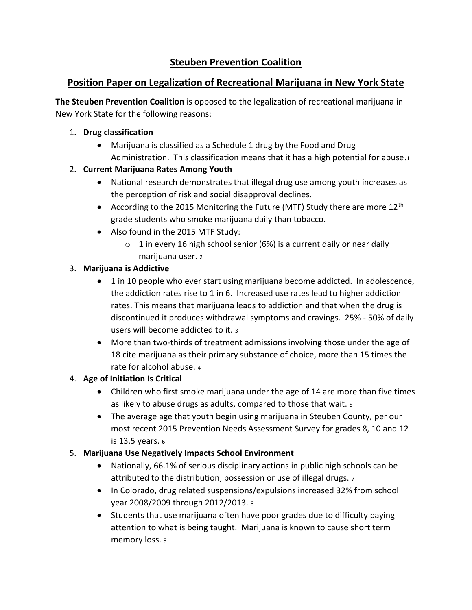# **Steuben Prevention Coalition**

## **Position Paper on Legalization of Recreational Marijuana in New York State**

**The Steuben Prevention Coalition** is opposed to the legalization of recreational marijuana in New York State for the following reasons:

#### 1. **Drug classification**

• Marijuana is classified as a Schedule 1 drug by the Food and Drug Administration. This classification means that it has a high potential for abuse.<sup>1</sup>

## 2. **Current Marijuana Rates Among Youth**

- National research demonstrates that illegal drug use among youth increases as the perception of risk and social disapproval declines.
- According to the 2015 Monitoring the Future (MTF) Study there are more  $12<sup>th</sup>$ grade students who smoke marijuana daily than tobacco.
- Also found in the 2015 MTF Study:
	- $\circ$  1 in every 16 high school senior (6%) is a current daily or near daily marijuana user. <sup>2</sup>

## 3. **Marijuana is Addictive**

- 1 in 10 people who ever start using marijuana become addicted. In adolescence, the addiction rates rise to 1 in 6. Increased use rates lead to higher addiction rates. This means that marijuana leads to addiction and that when the drug is discontinued it produces withdrawal symptoms and cravings. 25% - 50% of daily users will become addicted to it. <sup>3</sup>
- More than two-thirds of treatment admissions involving those under the age of 18 cite marijuana as their primary substance of choice, more than 15 times the rate for alcohol abuse. <sup>4</sup>

## 4. **Age of Initiation Is Critical**

- Children who first smoke marijuana under the age of 14 are more than five times as likely to abuse drugs as adults, compared to those that wait. <sup>5</sup>
- The average age that youth begin using marijuana in Steuben County, per our most recent 2015 Prevention Needs Assessment Survey for grades 8, 10 and 12 is 13.5 years. <sup>6</sup>

## 5. **Marijuana Use Negatively Impacts School Environment**

- Nationally, 66.1% of serious disciplinary actions in public high schools can be attributed to the distribution, possession or use of illegal drugs. <sup>7</sup>
- In Colorado, drug related suspensions/expulsions increased 32% from school year 2008/2009 through 2012/2013. <sup>8</sup>
- Students that use marijuana often have poor grades due to difficulty paying attention to what is being taught. Marijuana is known to cause short term memory loss. 9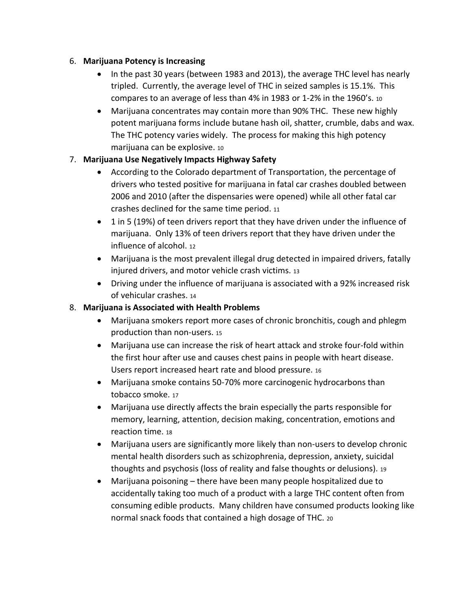#### 6. **Marijuana Potency is Increasing**

- In the past 30 years (between 1983 and 2013), the average THC level has nearly tripled. Currently, the average level of THC in seized samples is 15.1%. This compares to an average of less than 4% in 1983 or 1-2% in the 1960's. <sup>10</sup>
- Marijuana concentrates may contain more than 90% THC. These new highly potent marijuana forms include butane hash oil, shatter, crumble, dabs and wax. The THC potency varies widely. The process for making this high potency marijuana can be explosive. <sup>10</sup>

## 7. **Marijuana Use Negatively Impacts Highway Safety**

- According to the Colorado department of Transportation, the percentage of drivers who tested positive for marijuana in fatal car crashes doubled between 2006 and 2010 (after the dispensaries were opened) while all other fatal car crashes declined for the same time period. <sup>11</sup>
- 1 in 5 (19%) of teen drivers report that they have driven under the influence of marijuana. Only 13% of teen drivers report that they have driven under the influence of alcohol. <sup>12</sup>
- Marijuana is the most prevalent illegal drug detected in impaired drivers, fatally injured drivers, and motor vehicle crash victims. <sup>13</sup>
- Driving under the influence of marijuana is associated with a 92% increased risk of vehicular crashes. <sup>14</sup>

## 8. **Marijuana is Associated with Health Problems**

- Marijuana smokers report more cases of chronic bronchitis, cough and phlegm production than non-users. <sup>15</sup>
- Marijuana use can increase the risk of heart attack and stroke four-fold within the first hour after use and causes chest pains in people with heart disease. Users report increased heart rate and blood pressure. <sup>16</sup>
- Marijuana smoke contains 50-70% more carcinogenic hydrocarbons than tobacco smoke. <sup>17</sup>
- Marijuana use directly affects the brain especially the parts responsible for memory, learning, attention, decision making, concentration, emotions and reaction time. <sup>18</sup>
- Marijuana users are significantly more likely than non-users to develop chronic mental health disorders such as schizophrenia, depression, anxiety, suicidal thoughts and psychosis (loss of reality and false thoughts or delusions). <sup>19</sup>
- Marijuana poisoning there have been many people hospitalized due to accidentally taking too much of a product with a large THC content often from consuming edible products. Many children have consumed products looking like normal snack foods that contained a high dosage of THC. <sup>20</sup>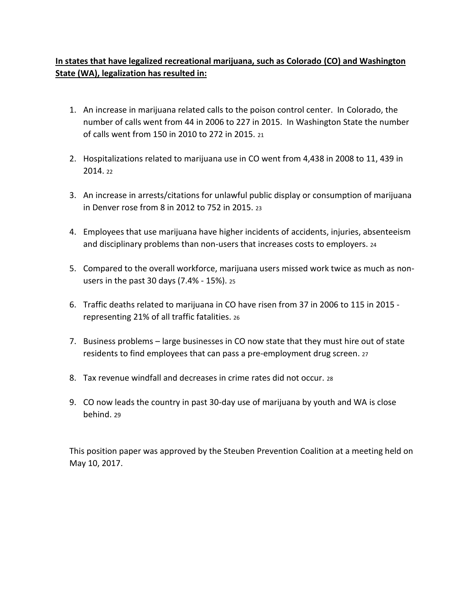## **In states that have legalized recreational marijuana, such as Colorado (CO) and Washington State (WA), legalization has resulted in:**

- 1. An increase in marijuana related calls to the poison control center. In Colorado, the number of calls went from 44 in 2006 to 227 in 2015. In Washington State the number of calls went from 150 in 2010 to 272 in 2015. <sup>21</sup>
- 2. Hospitalizations related to marijuana use in CO went from 4,438 in 2008 to 11, 439 in  $2014.22$
- 3. An increase in arrests/citations for unlawful public display or consumption of marijuana in Denver rose from 8 in 2012 to 752 in 2015. <sup>23</sup>
- 4. Employees that use marijuana have higher incidents of accidents, injuries, absenteeism and disciplinary problems than non-users that increases costs to employers. <sup>24</sup>
- 5. Compared to the overall workforce, marijuana users missed work twice as much as nonusers in the past 30 days (7.4% - 15%). <sup>25</sup>
- 6. Traffic deaths related to marijuana in CO have risen from 37 in 2006 to 115 in 2015 representing 21% of all traffic fatalities. <sup>26</sup>
- 7. Business problems large businesses in CO now state that they must hire out of state residents to find employees that can pass a pre-employment drug screen. <sup>27</sup>
- 8. Tax revenue windfall and decreases in crime rates did not occur. <sup>28</sup>
- 9. CO now leads the country in past 30-day use of marijuana by youth and WA is close behind. 29

This position paper was approved by the Steuben Prevention Coalition at a meeting held on May 10, 2017.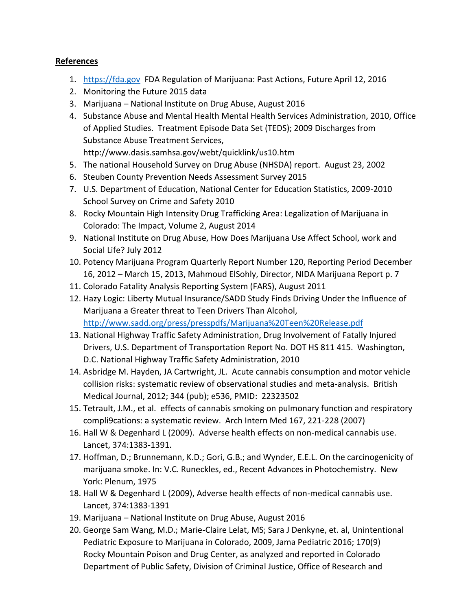#### **References**

- 1. [https://fda.gov](https://fda.gov/) FDA Regulation of Marijuana: Past Actions, Future April 12, 2016
- 2. Monitoring the Future 2015 data
- 3. Marijuana National Institute on Drug Abuse, August 2016
- 4. Substance Abuse and Mental Health Mental Health Services Administration, 2010, Office of Applied Studies. Treatment Episode Data Set (TEDS); 2009 Discharges from Substance Abuse Treatment Services, http://www.dasis.samhsa.gov/webt/quicklink/us10.htm
- 5. The national Household Survey on Drug Abuse (NHSDA) report. August 23, 2002
- 6. Steuben County Prevention Needs Assessment Survey 2015
- 7. U.S. Department of Education, National Center for Education Statistics, 2009-2010 School Survey on Crime and Safety 2010
- 8. Rocky Mountain High Intensity Drug Trafficking Area: Legalization of Marijuana in Colorado: The Impact, Volume 2, August 2014
- 9. National Institute on Drug Abuse, How Does Marijuana Use Affect School, work and Social Life? July 2012
- 10. Potency Marijuana Program Quarterly Report Number 120, Reporting Period December 16, 2012 – March 15, 2013, Mahmoud ElSohly, Director, NIDA Marijuana Report p. 7
- 11. Colorado Fatality Analysis Reporting System (FARS), August 2011
- 12. Hazy Logic: Liberty Mutual Insurance/SADD Study Finds Driving Under the Influence of Marijuana a Greater threat to Teen Drivers Than Alcohol, <http://www.sadd.org/press/presspdfs/Marijuana%20Teen%20Release.pdf>
- 13. National Highway Traffic Safety Administration, Drug Involvement of Fatally Injured Drivers, U.S. Department of Transportation Report No. DOT HS 811 415. Washington, D.C. National Highway Traffic Safety Administration, 2010
- 14. Asbridge M. Hayden, JA Cartwright, JL. Acute cannabis consumption and motor vehicle collision risks: systematic review of observational studies and meta-analysis. British Medical Journal, 2012; 344 (pub); e536, PMID: 22323502
- 15. Tetrault, J.M., et al. effects of cannabis smoking on pulmonary function and respiratory compli9cations: a systematic review. Arch Intern Med 167, 221-228 (2007)
- 16. Hall W & Degenhard L (2009). Adverse health effects on non-medical cannabis use. Lancet, 374:1383-1391.
- 17. Hoffman, D.; Brunnemann, K.D.; Gori, G.B.; and Wynder, E.E.L. On the carcinogenicity of marijuana smoke. In: V.C. Runeckles, ed., Recent Advances in Photochemistry. New York: Plenum, 1975
- 18. Hall W & Degenhard L (2009), Adverse health effects of non-medical cannabis use. Lancet, 374:1383-1391
- 19. Marijuana National Institute on Drug Abuse, August 2016
- 20. George Sam Wang, M.D.; Marie-Claire Lelat, MS; Sara J Denkyne, et. al, Unintentional Pediatric Exposure to Marijuana in Colorado, 2009, Jama Pediatric 2016; 170(9) Rocky Mountain Poison and Drug Center, as analyzed and reported in Colorado Department of Public Safety, Division of Criminal Justice, Office of Research and